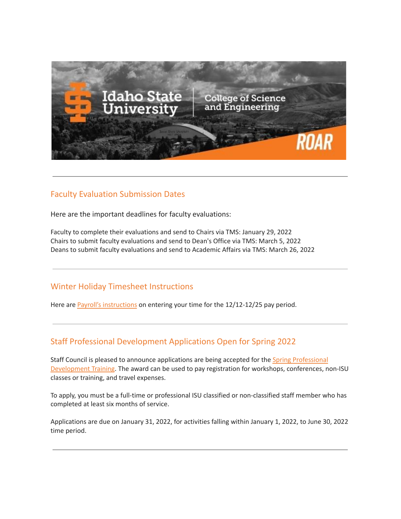

### Faculty Evaluation Submission Dates

Here are the important deadlines for faculty evaluations:

Faculty to complete their evaluations and send to Chairs via TMS: January 29, 2022 Chairs to submit faculty evaluations and send to Dean's Office via TMS: March 5, 2022 Deans to submit faculty evaluations and send to Academic Affairs via TMS: March 26, 2022

### Winter Holiday Timesheet Instructions

Here are Payroll's [instructions](https://myemail.constantcontact.com/Winter-Timesheet-Instructions.html?soid=1127399030149&aid=jolYO4L1aY8) on entering your time for the 12/12-12/25 pay period.

# Staff Professional Development Applications Open for Spring 2022

Staff Council is pleased to announce applications are being accepted for the Spring [Professional](https://www.isu.edu/staffcouncil/professional-development/) [Development](https://www.isu.edu/staffcouncil/professional-development/) Training. The award can be used to pay registration for workshops, conferences, non-ISU classes or training, and travel expenses.

To apply, you must be a full-time or professional ISU classified or non-classified staff member who has completed at least six months of service.

Applications are due on January 31, 2022, for activities falling within January 1, 2022, to June 30, 2022 time period.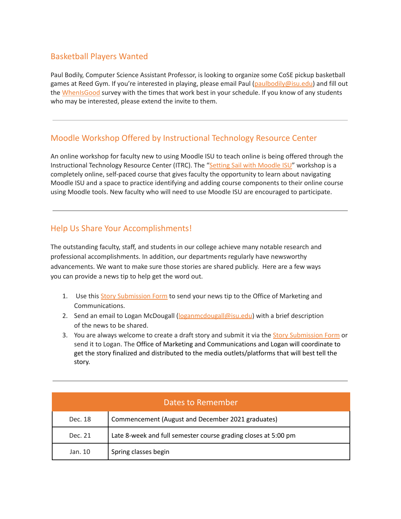## Basketball Players Wanted

Paul Bodily, Computer Science Assistant Professor, is looking to organize some CoSE pickup basketball games at Reed Gym. If you're interested in playing, please email Paul ([paulbodily@isu.edu\)](mailto:paulbodily@isu.edu) and fill out the [WhenIsGood](http://whenisgood.net/mmwx4rg) survey with the times that work best in your schedule. If you know of any students who may be interested, please extend the invite to them.

# Moodle Workshop Offered by Instructional Technology Resource Center

An online workshop for faculty new to using Moodle ISU to teach online is being offered through the Instructional Technology Resource Center (ITRC). The "Setting Sail with [Moodle](https://docs.google.com/forms/d/e/1FAIpQLSdJFGKro8x5N0mBHd428sq-UX80_jiNsl9wIgBiNYv0_yzlkA/viewform) ISU" workshop is a completely online, self-paced course that gives faculty the opportunity to learn about navigating Moodle ISU and a space to practice identifying and adding course components to their online course using Moodle tools. New faculty who will need to use Moodle ISU are encouraged to participate.

### Help Us Share Your Accomplishments!

The outstanding faculty, staff, and students in our college achieve many notable research and professional accomplishments. In addition, our departments regularly have newsworthy advancements. We want to make sure those stories are shared publicly. Here are a few ways you can provide a news tip to help get the word out.

- 1. Use this Story [Submission](https://www.isu.edu/news/story-form/) Form to send your news tip to the Office of Marketing and Communications.
- 2. Send an email to Logan McDougall ([loganmcdougall@isu.edu](mailto:loganmcdougall@isu.edu)) with a brief description of the news to be shared.
- 3. You are always welcome to create a draft story and submit it via the **Story [Submission](https://www.isu.edu/news/story-form/) Form** or send it to Logan. The Office of Marketing and Communications and Logan will coordinate to get the story finalized and distributed to the media outlets/platforms that will best tell the story.

| Dates to Remember |                                                                |  |  |  |
|-------------------|----------------------------------------------------------------|--|--|--|
| Dec. 18           | Commencement (August and December 2021 graduates)              |  |  |  |
| Dec. 21           | Late 8-week and full semester course grading closes at 5:00 pm |  |  |  |
| Jan. 10           | Spring classes begin                                           |  |  |  |